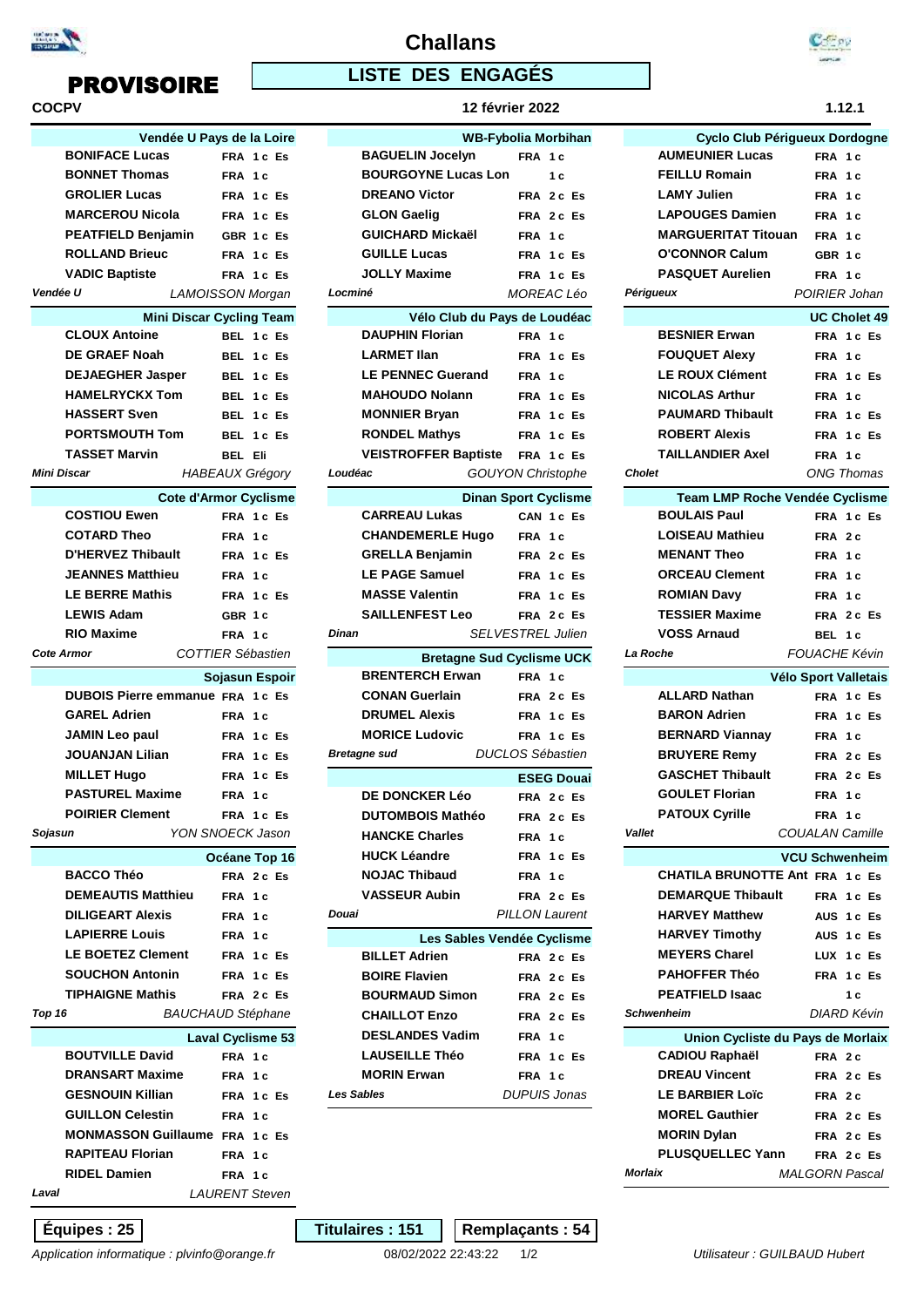

| COCPV             |                                                          |         |                          |
|-------------------|----------------------------------------------------------|---------|--------------------------|
|                   | Vendée U Pays de la Loire                                |         |                          |
|                   | <b>BONIFACE Lucas</b>                                    |         | FRA 1c Es                |
|                   | <b>BONNET Thomas</b>                                     | FRA 1 c |                          |
|                   | <b>GROLIER Lucas</b>                                     |         | FRA 1c Es                |
|                   | <b>MARCEROU Nicola</b>                                   |         | FRA 1c Es                |
|                   | <b>PEATFIELD Benjamin</b>                                |         | GBR 1c Es                |
|                   | <b>ROLLAND Brieuc</b>                                    |         | FRA 1c Es                |
|                   | <b>VADIC Baptiste</b>                                    |         | FRA 1c Es                |
| Vendée U          | LAMOISSON Morgan                                         |         |                          |
|                   | <b>Mini Discar Cycling Team</b>                          |         |                          |
|                   | <b>CLOUX Antoine</b>                                     |         | BEL 1c Es                |
|                   | <b>DE GRAEF Noah</b>                                     |         | BEL 1c Es                |
|                   | <b>DEJAEGHER Jasper</b>                                  |         | BEL 1c Es                |
|                   | <b>HAMELRYCKX Tom</b>                                    |         | BEL 1c Es                |
|                   | <b>HASSERT Sven</b>                                      |         | BEL 1c Es                |
|                   | <b>PORTSMOUTH Tom</b>                                    |         | BEL 1c Es                |
|                   | <b>TASSET Marvin</b>                                     | BEL Eli |                          |
| Mini Discar       |                                                          |         | <b>HABEAUX Grégory</b>   |
|                   | <b>Cote d'Armor Cyclisme</b>                             |         |                          |
|                   | <b>COSTIOU Ewen</b>                                      |         | FRA 1c Es                |
|                   | <b>COTARD Theo</b>                                       | FRA 1c  |                          |
|                   | <b>D'HERVEZ Thibault</b>                                 |         | FRA 1c Es                |
|                   | <b>JEANNES Matthieu</b>                                  | FRA 1 c |                          |
|                   | <b>LE BERRE Mathis</b>                                   |         | FRA 1c Es                |
|                   | <b>LEWIS Adam</b>                                        | GBR 1c  |                          |
|                   | <b>RIO Maxime</b>                                        | FRA 1c  |                          |
|                   |                                                          |         |                          |
| <b>Cote Armor</b> |                                                          |         | <b>COTTIER Sébastien</b> |
|                   |                                                          |         | Sojasun Espoir           |
|                   | DUBOIS Pierre emmanue FRA 1c Es                          |         |                          |
|                   | <b>GAREL Adrien</b>                                      | FRA 1 c |                          |
|                   | <b>JAMIN Leo paul</b>                                    |         | FRA 1c Es                |
|                   | <b>JOUANJAN Lilian</b>                                   |         | FRA 1c Es                |
|                   | <b>MILLET Hugo</b>                                       |         | FRA 1c Es                |
|                   | <b>PASTUREL Maxime</b>                                   | FRA 1c  |                          |
|                   | <b>POIRIER Clement</b>                                   |         | FRA 1c Es                |
| Sojasun           | YON SNOECK Jason                                         |         |                          |
|                   |                                                          |         | Océane Top 16            |
|                   | <b>BACCO Théo</b>                                        |         | FRA 2c Es                |
|                   | <b>DEMEAUTIS Matthieu</b>                                | FRA 1 c |                          |
|                   | <b>DILIGEART Alexis</b>                                  | FRA 1c  |                          |
|                   | <b>LAPIERRE Louis</b>                                    | FRA 1c  |                          |
|                   | <b>LE BOETEZ Clement</b>                                 |         | FRA 1c Es                |
|                   | <b>SOUCHON Antonin</b>                                   |         | FRA 1c Es                |
|                   | <b>TIPHAIGNE Mathis</b>                                  |         | FRA 2c Es                |
| Top 16            | <b>BAUCHAUD Stéphane</b>                                 |         |                          |
|                   |                                                          |         | <b>Laval Cyclisme 53</b> |
|                   | <b>BOUTVILLE David</b>                                   | FRA 1c  |                          |
|                   | <b>DRANSART Maxime</b><br><b>GESNOUIN Killian</b>        | FRA 1c  |                          |
|                   | <b>GUILLON Celestin</b>                                  |         | <b>FRA 1c Es</b>         |
|                   |                                                          | FRA 1c  |                          |
|                   | MONMASSON Guillaume FRA 1c Es<br><b>RAPITEAU Florian</b> | FRA 1 c |                          |

| <b>PROVISOIRE</b>                      |                                 |            | <b>LISTE DES ENGAGÉS</b>    |                                  |               |                              |                    |                |
|----------------------------------------|---------------------------------|------------|-----------------------------|----------------------------------|---------------|------------------------------|--------------------|----------------|
| <b>COCPV</b>                           |                                 |            |                             | <b>12 février 2022</b>           |               |                              |                    | 1.12.1         |
|                                        | Vendée U Pays de la Loire       |            |                             | <b>WB-Fybolia Morbihan</b>       |               | Cyclo Club Périgueux Dordo   |                    |                |
| <b>BONIFACE Lucas</b>                  |                                 | FRA 1c Es  | <b>BAGUELIN Jocelyn</b>     | FRA 1c                           |               | <b>AUMEUNIER Lucas</b>       | FRA 1c             |                |
| <b>BONNET Thomas</b>                   | FRA 1c                          |            | <b>BOURGOYNE Lucas Lon</b>  | 1 <sub>c</sub>                   |               | <b>FEILLU Romain</b>         | FRA 1c             |                |
| <b>GROLIER Lucas</b>                   |                                 | FRA 1c Es  | <b>DREANO Victor</b>        | FRA 2c Es                        |               | <b>LAMY Julien</b>           | FRA 1c             |                |
| <b>MARCEROU Nicola</b>                 |                                 | FRA 1c Es  | <b>GLON Gaelig</b>          | FRA 2c Es                        |               | <b>LAPOUGES Damien</b>       | FRA 1c             |                |
| PEATFIELD Benjamin                     |                                 | GBR 1c Es  | GUICHARD Mickaël            | FRA 1c                           |               | <b>MARGUERITAT Titouan</b>   | FRA 1c             |                |
| <b>ROLLAND Brieuc</b>                  |                                 | FRA 1c Es  | <b>GUILLE Lucas</b>         | FRA 1c Es                        |               | <b>O'CONNOR Calum</b>        | GBR 1c             |                |
| <b>VADIC Baptiste</b>                  |                                 | FRA 1c Es  | <b>JOLLY Maxime</b>         | FRA 1c Es                        |               | <b>PASQUET Aurelien</b>      |                    | FRA 1c         |
| Vendée U                               | <b>LAMOISSON Morgan</b>         |            | Locminé                     | MOREAC Léo                       | Périgueux     |                              | <b>POIRIER Jo</b>  |                |
|                                        | <b>Mini Discar Cycling Team</b> |            |                             | Vélo Club du Pays de Loudéac     |               |                              | <b>UC Chole</b>    |                |
| <b>CLOUX Antoine</b>                   |                                 | BEL 1c Es  | <b>DAUPHIN Florian</b>      | FRA 1c                           |               | <b>BESNIER Erwan</b>         | FRA 1c             |                |
| <b>DE GRAEF Noah</b>                   |                                 | BEL 1c Es  | <b>LARMET IIan</b>          | FRA 1c Es                        |               | <b>FOUQUET Alexy</b>         | FRA 1c             |                |
| <b>DEJAEGHER Jasper</b>                |                                 | BEL 1c Es  | <b>LE PENNEC Guerand</b>    | FRA 1c                           |               | <b>LE ROUX Clément</b>       | FRA 1c             |                |
| <b>HAMELRYCKX Tom</b>                  |                                 | BEL 1c Es  | <b>MAHOUDO Nolann</b>       | FRA 1c Es                        |               | <b>NICOLAS Arthur</b>        | FRA 1c             |                |
| <b>HASSERT Sven</b>                    |                                 | BEL 1c Es  | <b>MONNIER Bryan</b>        | FRA 1c Es                        |               | <b>PAUMARD Thibault</b>      | FRA 1c             |                |
| <b>PORTSMOUTH Tom</b>                  |                                 | BEL 1c Es  | <b>RONDEL Mathys</b>        | FRA 1c Es                        |               | <b>ROBERT Alexis</b>         | FRA 1c             |                |
| <b>TASSET Marvin</b>                   | BEL Eli                         |            | <b>VEISTROFFER Baptiste</b> | FRA 1c Es                        |               | <b>TAILLANDIER Axel</b>      |                    | FRA 1c         |
| Mini Discar                            | <b>HABEAUX Grégory</b>          |            | Loudéac                     | <b>GOUYON Christophe</b>         | <b>Cholet</b> |                              | ONG Thoi           |                |
|                                        | <b>Cote d'Armor Cyclisme</b>    |            |                             | <b>Dinan Sport Cyclisme</b>      |               | Team LMP Roche Vendée Cycli  |                    |                |
| <b>COSTIOU Ewen</b>                    |                                 | FRA 1c Es  | <b>CARREAU Lukas</b>        | CAN 1c Es                        |               | <b>BOULAIS Paul</b>          | FRA 1c             |                |
| <b>COTARD Theo</b>                     | FRA 1c                          |            | <b>CHANDEMERLE Hugo</b>     | FRA 1c                           |               | <b>LOISEAU Mathieu</b>       | FRA 2c             |                |
| <b>D'HERVEZ Thibault</b>               |                                 | FRA 1c Es  | <b>GRELLA Benjamin</b>      | FRA 2c Es                        |               | <b>MENANT Theo</b>           | FRA 1c             |                |
| <b>JEANNES Matthieu</b>                | FRA 1c                          |            | <b>LE PAGE Samuel</b>       | FRA 1c Es                        |               | <b>ORCEAU Clement</b>        | FRA 1c             |                |
| <b>LE BERRE Mathis</b>                 |                                 | FRA 1c Es  | <b>MASSE Valentin</b>       | FRA 1c Es                        |               | <b>ROMIAN Davy</b>           | FRA 1c             |                |
| <b>LEWIS Adam</b>                      | GBR 1c                          |            | <b>SAILLENFEST Leo</b>      | FRA 2c Es                        |               | <b>TESSIER Maxime</b>        | FRA 2c             |                |
| <b>RIO Maxime</b>                      | FRA 1c                          |            | Dinan                       | <b>SELVESTREL Julien</b>         |               | <b>VOSS Arnaud</b>           | BEL 1c             |                |
| <b>Cote Armor</b>                      | <b>COTTIER Sébastien</b>        |            |                             | <b>Bretagne Sud Cyclisme UCK</b> | La Roche      |                              | <b>FOUACHE Ke</b>  |                |
|                                        | Sojasun Espoir                  |            | <b>BRENTERCH Erwan</b>      | FRA 1c                           |               |                              | Vélo Sport Valle   |                |
| <b>DUBOIS Pierre emmanue FRA 1c Es</b> |                                 |            | <b>CONAN Guerlain</b>       | FRA 2c Es                        |               | <b>ALLARD Nathan</b>         | FRA 1c             |                |
| <b>GAREL Adrien</b>                    | FRA 1c                          |            | <b>DRUMEL Alexis</b>        | FRA 1c Es                        |               | <b>BARON Adrien</b>          | FRA 1c             |                |
| <b>JAMIN Leo paul</b>                  |                                 | FRA 1c Es  | <b>MORICE Ludovic</b>       | FRA 1c Es                        |               | <b>BERNARD Viannay</b>       | FRA 1c             |                |
| JOUANJAN Lilian                        |                                 | FRA 1 c Es | <b>Bretagne sud</b>         | <b>DUCLOS Sébastien</b>          |               | <b>BRUYERE Remy</b>          |                    | FRA 2c         |
| <b>MILLET Hugo</b>                     |                                 | FRA 1c Es  |                             | <b>ESEG Douai</b>                |               | <b>GASCHET Thibault</b>      |                    | FRA 2c         |
| <b>PASTUREL Maxime</b>                 | FRA 1c                          |            | DE DONCKER Léo              | FRA 2c Es                        |               | <b>GOULET Florian</b>        |                    | FRA 1c         |
| <b>POIRIER Clement</b>                 |                                 | FRA 1c Es  | <b>DUTOMBOIS Mathéo</b>     | FRA 2c Es                        |               | <b>PATOUX Cyrille</b>        |                    | FRA 1c         |
| Sojasun                                | YON SNOECK Jason                |            | <b>HANCKE Charles</b>       | FRA 1c                           | Vallet        |                              | COUALAN Car        |                |
|                                        | Océane Top 16                   |            | <b>HUCK Léandre</b>         | FRA 1c Es                        |               |                              | <b>VCU Schwent</b> |                |
| <b>BACCO Théo</b>                      |                                 | FRA 2c Es  | <b>NOJAC Thibaud</b>        | FRA 1c                           |               | CHATILA BRUNOTTE Ant FRA 1c  |                    |                |
| <b>DEMEAUTIS Matthieu</b>              | FRA 1c                          |            | <b>VASSEUR Aubin</b>        | FRA 2c Es                        |               | <b>DEMARQUE Thibault</b>     |                    | FRA 1c         |
| <b>DILIGEART Alexis</b>                | FRA 1c                          |            | Douai                       | <b>PILLON Laurent</b>            |               | <b>HARVEY Matthew</b>        |                    | AUS 1c         |
| <b>LAPIERRE Louis</b>                  | FRA 1c                          |            |                             | Les Sables Vendée Cyclisme       |               | <b>HARVEY Timothy</b>        |                    | AUS 1c         |
| <b>LE BOETEZ Clement</b>               |                                 | FRA 1c Es  | <b>BILLET Adrien</b>        | FRA 2c Es                        |               | <b>MEYERS Charel</b>         |                    | LUX 1c         |
| <b>SOUCHON Antonin</b>                 |                                 | FRA 1c Es  | <b>BOIRE Flavien</b>        | FRA 2c Es                        |               | <b>PAHOFFER Théo</b>         |                    | FRA 1c         |
| <b>TIPHAIGNE Mathis</b>                |                                 | FRA 2c Es  | <b>BOURMAUD Simon</b>       | FRA 2c Es                        |               | <b>PEATFIELD Isaac</b>       |                    | 1 <sub>c</sub> |
| Top 16                                 | <b>BAUCHAUD Stéphane</b>        |            | <b>CHAILLOT Enzo</b>        | FRA 2c Es                        |               | Schwenheim                   | DIARD Kı           |                |
|                                        | <b>Laval Cyclisme 53</b>        |            | <b>DESLANDES Vadim</b>      | FRA 1c                           |               | Union Cycliste du Pays de Mo |                    |                |
| <b>BOUTVILLE David</b>                 | FRA 1c                          |            | <b>LAUSEILLE Théo</b>       | FRA 1c Es                        |               | <b>CADIOU Raphaël</b>        |                    | FRA 2c         |
| <b>DRANSART Maxime</b>                 | FRA 1c                          |            | <b>MORIN Erwan</b>          | FRA 1c                           |               | <b>DREAU Vincent</b>         |                    | FRA 2c         |
| <b>GESNOUIN Killian</b>                |                                 | FRA 1c Es  | <b>Les Sables</b>           | <b>DUPUIS Jonas</b>              |               | <b>LE BARBIER Loïc</b>       |                    | FRA 2c         |
| <b>GUILLON Celestin</b>                | FRA 1c                          |            |                             |                                  |               | <b>MOREL Gauthier</b>        |                    | FRA 2c         |
|                                        |                                 |            |                             |                                  |               |                              |                    |                |

**Challans**



| <b>MORIN Erwan</b> |  |  |  |  |  |
|--------------------|--|--|--|--|--|
| <b>Les Sables</b>  |  |  |  |  |  |
|                    |  |  |  |  |  |
|                    |  |  |  |  |  |
|                    |  |  |  |  |  |
|                    |  |  |  |  |  |
|                    |  |  |  |  |  |

**Équipes : 25 Titulaires : 151 Remplaçants : 54**

|               | <b>O'CONNOR Calum</b>             | GBR 1c                 |  |
|---------------|-----------------------------------|------------------------|--|
|               | <b>PASQUET Aurelien</b>           | FRA 1c                 |  |
| Périgueux     |                                   | POIRIER Johan          |  |
|               |                                   | <b>UC Cholet 49</b>    |  |
|               | <b>BESNIER Erwan</b>              | FRA 1c Es              |  |
|               | <b>FOUQUET Alexy</b>              | FRA 1c                 |  |
|               | <b>LE ROUX Clément</b>            | FRA 1c Es              |  |
|               | <b>NICOLAS Arthur</b>             | FRA 1c                 |  |
|               | <b>PAUMARD Thibault</b>           | FRA 1c Es              |  |
|               | <b>ROBERT Alexis</b>              | FRA 1c Es              |  |
|               | <b>TAILLANDIER Axel</b>           | FRA 1c                 |  |
| <b>Cholet</b> |                                   | <b>ONG Thomas</b>      |  |
|               | Team LMP Roche Vendée Cyclisme    |                        |  |
|               | <b>BOULAIS Paul</b>               | FRA 1c Es              |  |
|               | <b>LOISEAU Mathieu</b>            | FRA<br>2c              |  |
|               | <b>MENANT Theo</b>                | FRA 1 c                |  |
|               | <b>ORCEAU Clement</b>             | FRA 1c                 |  |
|               | <b>ROMIAN Davy</b>                | FRA 1c                 |  |
|               | <b>TESSIER Maxime</b>             | FRA 2c Es              |  |
|               | <b>VOSS Arnaud</b>                | BEL 1c                 |  |
| La Roche      |                                   | <b>FOUACHE Kévin</b>   |  |
|               |                                   | Vélo Sport Valletais   |  |
|               | <b>ALLARD Nathan</b>              | FRA 1c Es              |  |
|               | <b>BARON Adrien</b>               | FRA 1c Es              |  |
|               | <b>BERNARD Viannay</b>            | FRA 1c                 |  |
|               | <b>BRUYERE Remy</b>               | FRA 2c Es              |  |
|               | <b>GASCHET Thibault</b>           | FRA 2c Es              |  |
|               | <b>GOULET Florian</b>             | FRA 1c                 |  |
|               | <b>PATOUX Cyrille</b>             | FRA 1c                 |  |
| Vallet        |                                   | <b>COUALAN Camille</b> |  |
|               |                                   | <b>VCU Schwenheim</b>  |  |
|               | CHATILA BRUNOTTE Ant FRA 1c Es    |                        |  |
|               | <b>DEMARQUE Thibault</b>          | FRA 1c Es              |  |
|               | <b>HARVEY Matthew</b>             | AUS 1c Es              |  |
|               | <b>HARVEY Timothy</b>             | AUS 1c Es              |  |
|               | <b>MEYERS Charel</b>              | LUX 1c Es              |  |
|               | <b>PAHOFFER Théo</b>              | FRA 1c Es              |  |
|               | <b>PEATFIELD Isaac</b>            | 1 <sub>c</sub>         |  |
|               | <b>Schwenheim</b>                 | DIARD Kévin            |  |
|               | Union Cycliste du Pays de Morlaix |                        |  |
|               | <b>CADIOU Raphaël</b>             | FRA 2c                 |  |
|               | <b>DREAU Vincent</b>              | FRA 2c Es              |  |
|               | <b>LE BARBIER Loïc</b>            | FRA 2c                 |  |
|               |                                   |                        |  |
|               | <b>MOREL Gauthier</b>             | FRA 2c Es              |  |
|               | <b>MORIN Dylan</b>                | FRA 2c Es              |  |

*Application informatique : plvinfo@orange.fr Utilisateur : GUILBAUD Hubert*

*Laval LAURENT Steven* 

*Morlaix MALGORN Pascal*